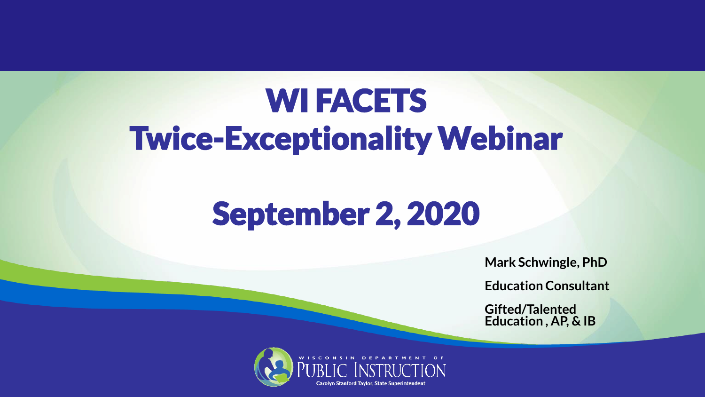#### **WI FACETS** Twice-Exceptionality Webinar

#### September 2, 2020

**Mark Schwingle, PhD**

**Education Consultant**

**Gifted/Talented Education , AP, & IB**

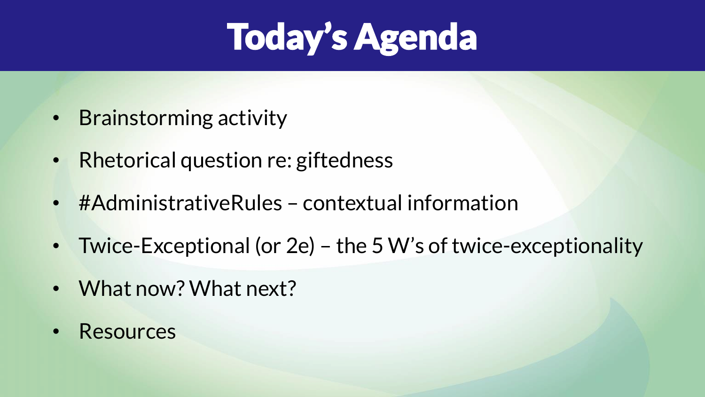### Today's Agenda

- Brainstorming activity
- Rhetorical question re: giftedness
- #AdministrativeRules contextual information
- Twice-Exceptional (or 2e) the 5 W's of twice-exceptionality
- What now? What next?
- Resources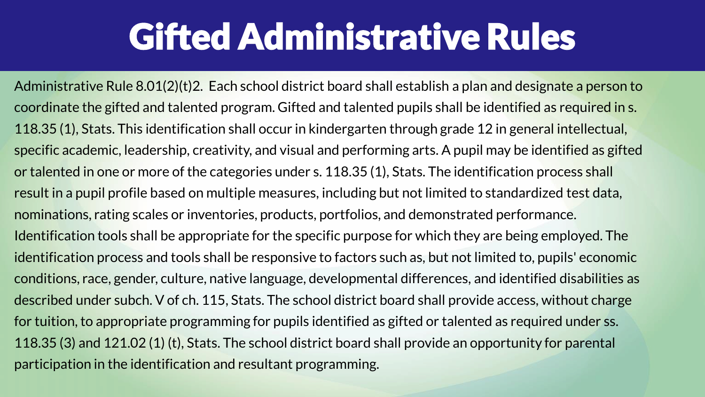#### Gifted Administrative Rules

Administrative Rule 8.01(2)(t)2. Each school district board shall establish a plan and designate a person to coordinate the gifted and talented program. Gifted and talented pupils shall be identified as required in s. 118.35 (1), Stats. This identification shall occur in kindergarten through grade 12 in general intellectual, specific academic, leadership, creativity, and visual and performing arts. A pupil may be identified as gifted or talented in one or more of the categories under s. 118.35 (1), Stats. The identification process shall result in a pupil profile based on multiple measures, including but not limited to standardized test data, nominations, rating scales or inventories, products, portfolios, and demonstrated performance. Identification tools shall be appropriate for the specific purpose for which they are being employed. The identification process and tools shall be responsive to factors such as, but not limited to, pupils' economic conditions, race, gender, culture, native language, developmental differences, and identified disabilities as described under subch. V of ch. 115, Stats. The school district board shall provide access, without charge for tuition, to appropriate programming for pupils identified as gifted or talented as required under ss. 118.35 (3) and 121.02 (1) (t), Stats. The school district board shall provide an opportunity for parental participation in the identification and resultant programming.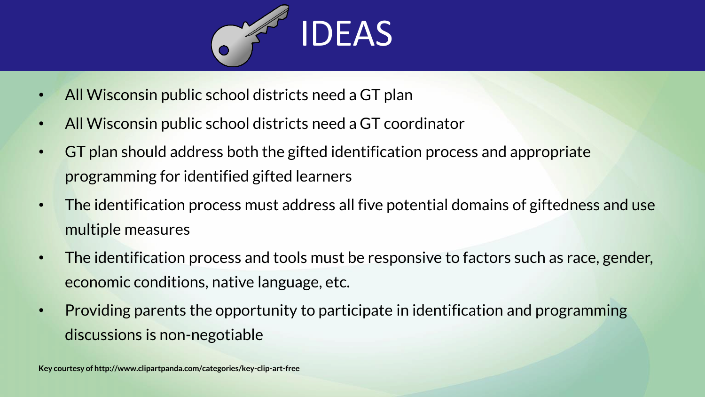

- All Wisconsin public school districts need a GT plan
- All Wisconsin public school districts need a GT coordinator
- GT plan should address both the gifted identification process and appropriate programming for identified gifted learners
- The identification process must address all five potential domains of giftedness and use multiple measures
- The identification process and tools must be responsive to factors such as race, gender, economic conditions, native language, etc.
- Providing parents the opportunity to participate in identification and programming discussions is non-negotiable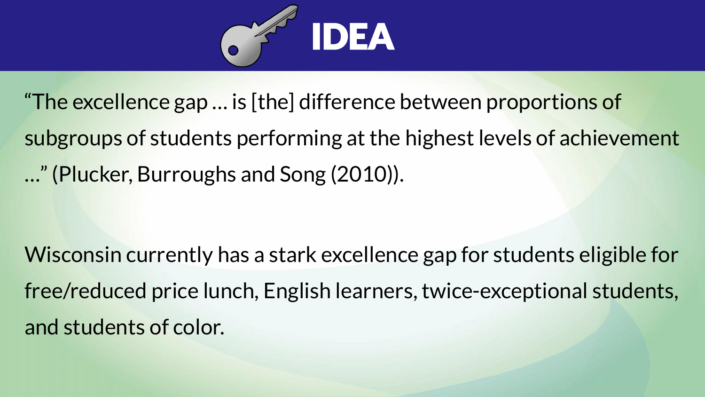

"The excellence gap … is [the] difference between proportions of subgroups of students performing at the highest levels of achievement …" (Plucker, Burroughs and Song (2010)).

Wisconsin currently has a stark excellence gap for students eligible for free/reduced price lunch, English learners, twice-exceptional students, and students of color.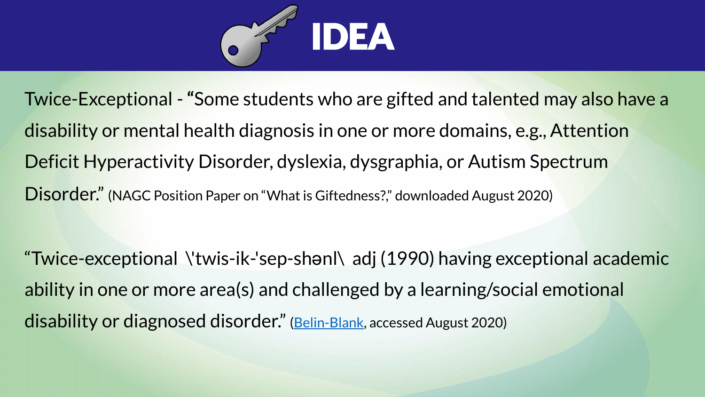

Twice-Exceptional -**"**Some students who are gifted and talented may also have a disability or mental health diagnosis in one or more domains, e.g., Attention Deficit Hyperactivity Disorder, dyslexia, dysgraphia, or Autism Spectrum Disorder." (NAGC Position Paper on "What is Giftedness?," downloaded August 2020)

"Twice-exceptional \'twis-ik-'sep-shənl\ adj (1990) having exceptional academic ability in one or more area(s) and challenged by a learning/social emotional disability or diagnosed disorder." [\(Belin-Blank,](https://belinblank.education.uiowa.edu/research/ini-collab.aspx#about) accessed August 2020)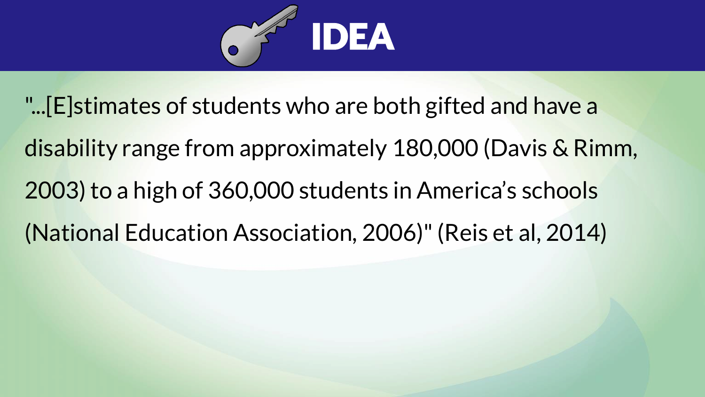

- "...[E]stimates of students who are both gifted and have a
- disability range from approximately 180,000 (Davis & Rimm, 2003) to a high of 360,000 students in America's schools
- (National Education Association, 2006)" (Reis et al, 2014)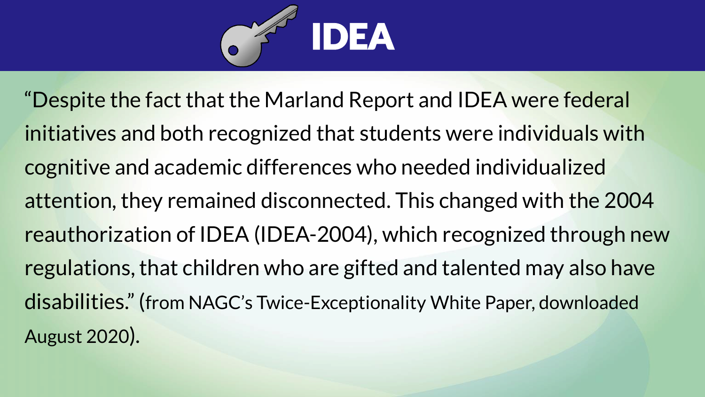

"Despite the fact that the Marland Report and IDEA were federal initiatives and both recognized that students were individuals with cognitive and academic differences who needed individualized attention, they remained disconnected. This changed with the 2004 reauthorization of IDEA (IDEA-2004), which recognized through new regulations, that children who are gifted and talented may also have disabilities." (from NAGC's Twice-Exceptionality White Paper, downloaded August 2020).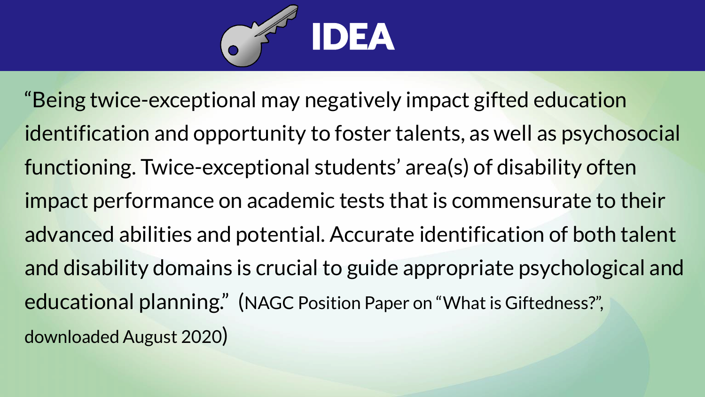

"Being twice-exceptional may negatively impact gifted education identification and opportunity to foster talents, as well as psychosocial functioning. Twice-exceptional students' area(s) of disability often impact performance on academic tests that is commensurate to their advanced abilities and potential. Accurate identification of both talent and disability domains is crucial to guide appropriate psychological and educational planning." (NAGC Position Paper on "What is Giftedness?", downloaded August 2020)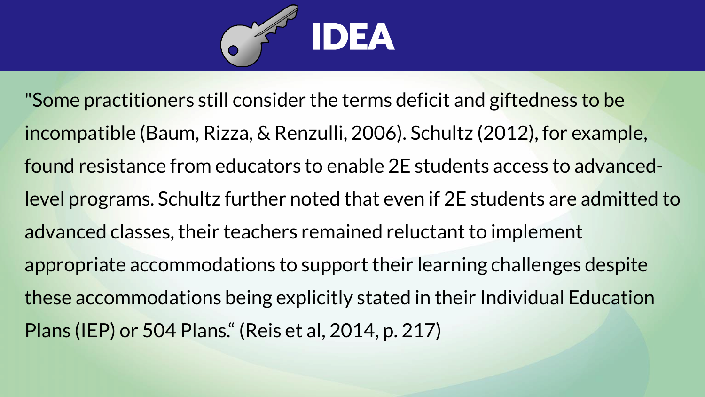

"Some practitioners still consider the terms deficit and giftedness to be incompatible (Baum, Rizza, & Renzulli, 2006). Schultz (2012), for example, found resistance from educators to enable 2E students access to advancedlevel programs. Schultz further noted that even if 2E students are admitted to advanced classes, their teachers remained reluctant to implement appropriate accommodations to support their learning challenges despite these accommodations being explicitly stated in their Individual Education Plans (IEP) or 504 Plans." (Reis et al, 2014, p. 217)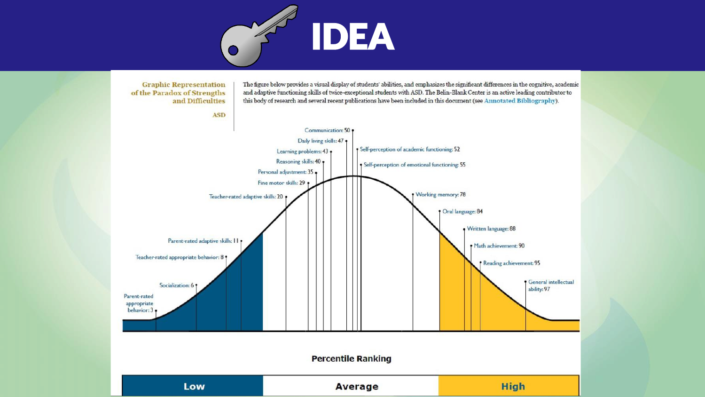

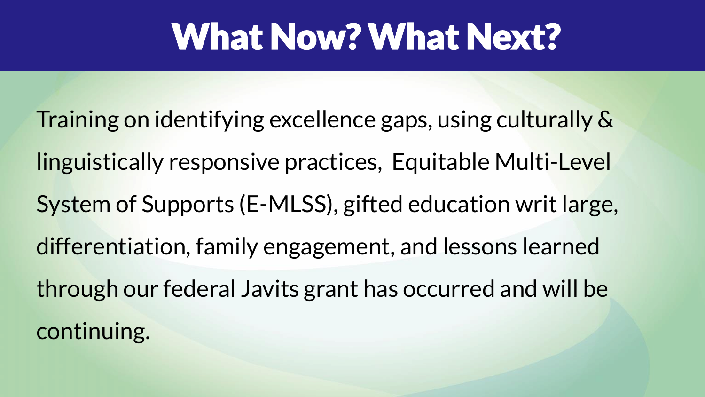### What Now? What Next?

Training on identifying excellence gaps, using culturally & linguistically responsive practices, Equitable Multi-Level System of Supports (E-MLSS), gifted education writ large, differentiation, family engagement, and lessons learned through our federal Javits grant has occurred and will be continuing.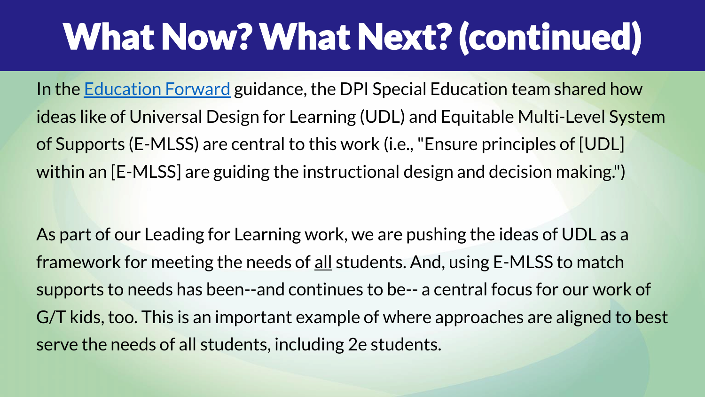## What Now? What Next? (continued)

In the [Education Forward](https://dpi.wi.gov/education-forward) guidance, the DPI Special Education team shared how ideas like of Universal Design for Learning (UDL) and Equitable Multi-Level System of Supports (E-MLSS) are central to this work (i.e., "Ensure principles of [UDL] within an [E-MLSS] are guiding the instructional design and decision making.")

As part of our Leading for Learning work, we are pushing the ideas of UDL as a framework for meeting the needs of all students. And, using E-MLSS to match supports to needs has been--and continues to be-- a central focus for our work of G/T kids, too. This is an important example of where approaches are aligned to best serve the needs of all students, including 2e students.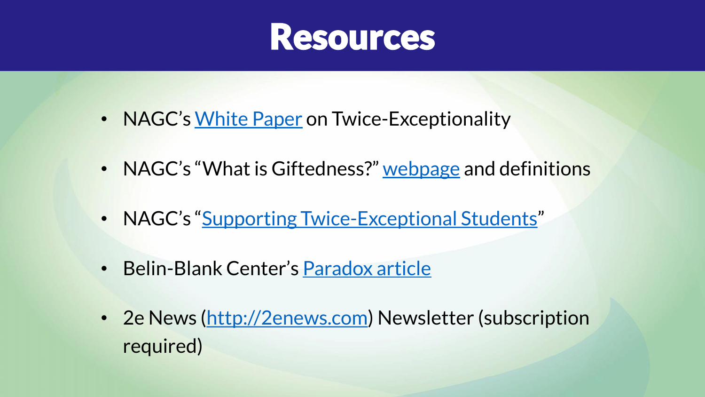

- NAGC's [White Paper](https://www.nagc.org/sites/default/files/Position%20Statement/twice%20exceptional.pdf) on Twice-Exceptionality
- NAGC's "What is Giftedness?" [webpage](https://www.nagc.org/resources-publications/resources/what-giftedness) and definitions
- NAGC's "[Supporting Twice-Exceptional Students](http://www.nagc.org/supporting-twice-exceptional-students)"
- Belin-Blank Center's [Paradox article](https://belinblank.education.uiowa.edu/research/docs/pip2.pdf)
- 2e News ([http://2enews.com\)](http://2enews.com/) Newsletter (subscription required)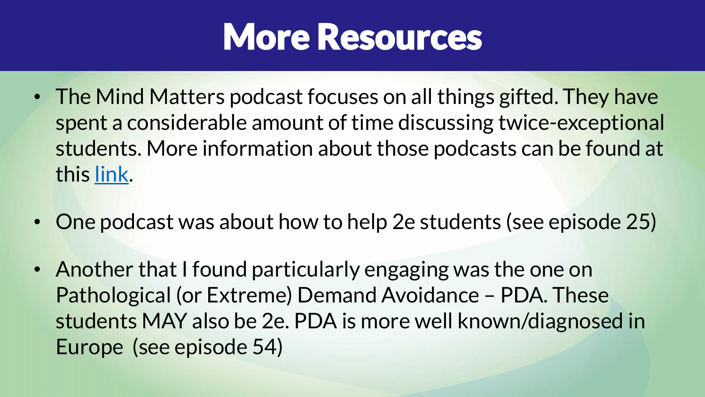

- The Mind Matters podcast focuses on all things gifted. They have spent a considerable amount of time discussing twice-exceptional students. More information about those podcasts can be found at this [link.](https://www.mindmatterspodcast.com/search?q=twice+exceptional)
- One podcast was about how to help 2e students (see episode 25)
- Another that I found particularly engaging was the one on Pathological (or Extreme) Demand Avoidance – PDA. These students MAY also be 2e. PDA is more well known/diagnosed in Europe (see episode 54)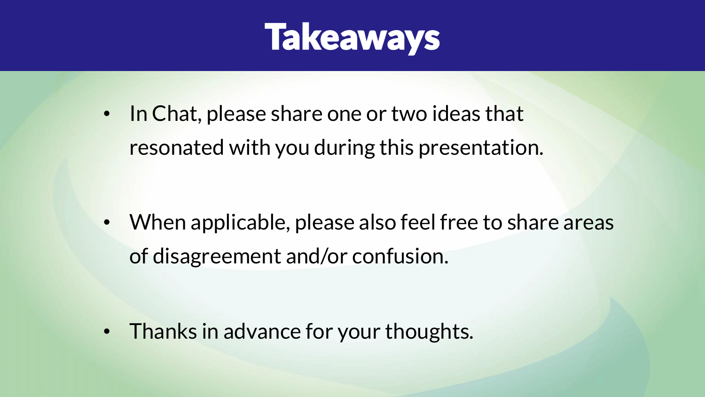

In Chat, please share one or two ideas that resonated with you during this presentation.

• When applicable, please also feel free to share areas of disagreement and/or confusion.

• Thanks in advance for your thoughts.